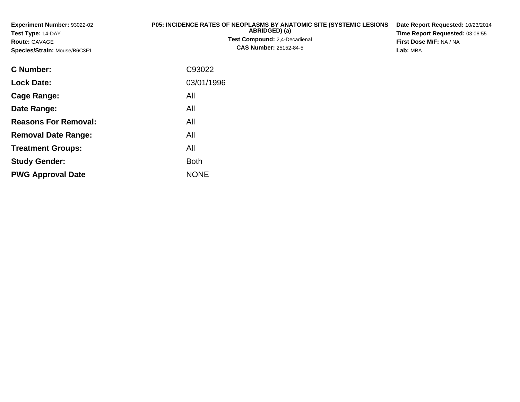**Experiment Number:** 93022-02**Test Type:** 14-DAY**Route:** GAVAGE **Species/Strain:** Mouse/B6C3F1**P05: INCIDENCE RATES OF NEOPLASMS BY ANATOMIC SITE (SYSTEMIC LESIONS ABRIDGED) (a) Test Compound:** 2,4-Decadienal **CAS Number:** 25152-84-5**Date Report Requested:** 10/23/2014**Time Report Requested:** 03:06:55**First Dose M/F:** NA / NA**Lab:** MBA**C Number:**: C93022

| <b>U</b> NUITIDEL.          | <b>UYJUZZ</b> |
|-----------------------------|---------------|
| <b>Lock Date:</b>           | 03/01/1996    |
| Cage Range:                 | All           |
| Date Range:                 | All           |
| <b>Reasons For Removal:</b> | All           |
| <b>Removal Date Range:</b>  | All           |
| <b>Treatment Groups:</b>    | All           |
| <b>Study Gender:</b>        | <b>Both</b>   |
| <b>PWG Approval Date</b>    | <b>NONE</b>   |
|                             |               |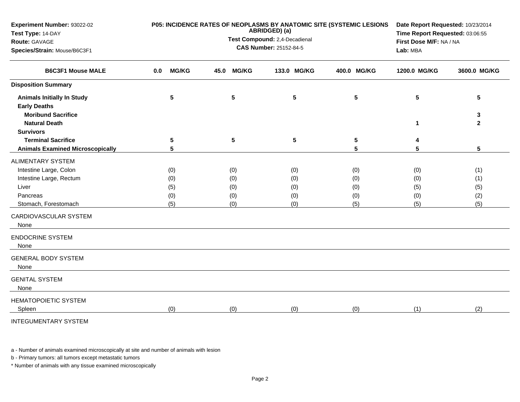| Experiment Number: 93022-02<br>Test Type: 14-DAY                                         |                     | P05: INCIDENCE RATES OF NEOPLASMS BY ANATOMIC SITE (SYSTEMIC LESIONS<br>ABRIDGED) (a) | Date Report Requested: 10/23/2014<br>Time Report Requested: 03:06:55 |                 |                |                   |
|------------------------------------------------------------------------------------------|---------------------|---------------------------------------------------------------------------------------|----------------------------------------------------------------------|-----------------|----------------|-------------------|
| Route: GAVAGE                                                                            |                     | Test Compound: 2,4-Decadienal                                                         | First Dose M/F: NA / NA                                              |                 |                |                   |
| Species/Strain: Mouse/B6C3F1                                                             |                     | <b>CAS Number: 25152-84-5</b>                                                         | Lab: MBA                                                             |                 |                |                   |
| <b>B6C3F1 Mouse MALE</b>                                                                 | <b>MG/KG</b><br>0.0 | <b>MG/KG</b><br>45.0                                                                  | 133.0 MG/KG                                                          | 400.0 MG/KG     | 1200.0 MG/KG   | 3600.0 MG/KG      |
| <b>Disposition Summary</b>                                                               |                     |                                                                                       |                                                                      |                 |                |                   |
| <b>Animals Initially In Study</b><br><b>Early Deaths</b>                                 | 5                   | ${\bf 5}$                                                                             | $5\phantom{.0}$                                                      | $5\phantom{.0}$ | $5\phantom{1}$ | 5                 |
| <b>Moribund Sacrifice</b><br><b>Natural Death</b>                                        |                     |                                                                                       |                                                                      |                 | 1              | 3<br>$\mathbf{2}$ |
| <b>Survivors</b><br><b>Terminal Sacrifice</b><br><b>Animals Examined Microscopically</b> | 5<br>5              | $5\phantom{.0}$                                                                       | $5\phantom{.0}$                                                      | 5<br>5          | 4<br>5         | $5\phantom{.0}$   |
| <b>ALIMENTARY SYSTEM</b>                                                                 |                     |                                                                                       |                                                                      |                 |                |                   |
| Intestine Large, Colon                                                                   | (0)                 | (0)                                                                                   | (0)                                                                  | (0)             | (0)            | (1)               |
| Intestine Large, Rectum                                                                  | (0)                 | (0)                                                                                   | (0)                                                                  | (0)             | (0)            | (1)               |
| Liver                                                                                    | (5)                 | (0)                                                                                   | (0)                                                                  | (0)             | (5)            | (5)               |
| Pancreas                                                                                 | (0)                 | (0)                                                                                   | (0)                                                                  | (0)             | (0)            | (2)               |
| Stomach, Forestomach                                                                     | (5)                 | (0)                                                                                   | (0)                                                                  | (5)             | (5)            | (5)               |
| CARDIOVASCULAR SYSTEM<br>None                                                            |                     |                                                                                       |                                                                      |                 |                |                   |
| <b>ENDOCRINE SYSTEM</b><br>None                                                          |                     |                                                                                       |                                                                      |                 |                |                   |
| <b>GENERAL BODY SYSTEM</b><br>None                                                       |                     |                                                                                       |                                                                      |                 |                |                   |
| <b>GENITAL SYSTEM</b><br>None                                                            |                     |                                                                                       |                                                                      |                 |                |                   |
| HEMATOPOIETIC SYSTEM<br>Spleen                                                           | (0)                 | (0)                                                                                   | (0)                                                                  | (0)             | (1)            | (2)               |
| <b>INTEGUMENTARY SYSTEM</b>                                                              |                     |                                                                                       |                                                                      |                 |                |                   |

a - Number of animals examined microscopically at site and number of animals with lesion

b - Primary tumors: all tumors except metastatic tumors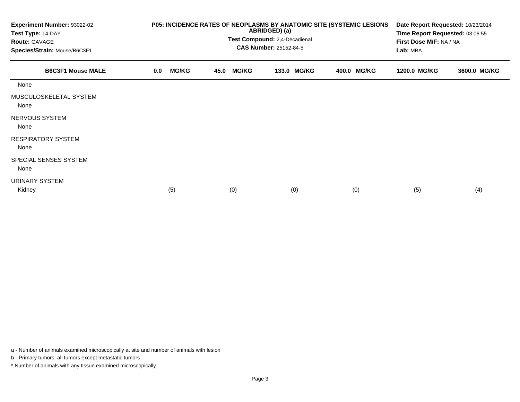| Experiment Number: 93022-02<br>Test Type: 14-DAY<br><b>Route: GAVAGE</b><br>Species/Strain: Mouse/B6C3F1 |                     | P05: INCIDENCE RATES OF NEOPLASMS BY ANATOMIC SITE (SYSTEMIC LESIONS<br>ABRIDGED) (a)<br>Test Compound: 2,4-Decadienal<br><b>CAS Number: 25152-84-5</b> | Date Report Requested: 10/23/2014<br>Time Report Requested: 03:06:55<br>First Dose M/F: NA / NA<br>Lab: MBA |             |              |              |
|----------------------------------------------------------------------------------------------------------|---------------------|---------------------------------------------------------------------------------------------------------------------------------------------------------|-------------------------------------------------------------------------------------------------------------|-------------|--------------|--------------|
| <b>B6C3F1 Mouse MALE</b>                                                                                 | <b>MG/KG</b><br>0.0 | <b>MG/KG</b><br>45.0                                                                                                                                    | 133.0 MG/KG                                                                                                 | 400.0 MG/KG | 1200.0 MG/KG | 3600.0 MG/KG |
| None                                                                                                     |                     |                                                                                                                                                         |                                                                                                             |             |              |              |
| MUSCULOSKELETAL SYSTEM<br>None                                                                           |                     |                                                                                                                                                         |                                                                                                             |             |              |              |
| NERVOUS SYSTEM<br>None                                                                                   |                     |                                                                                                                                                         |                                                                                                             |             |              |              |
| <b>RESPIRATORY SYSTEM</b><br>None                                                                        |                     |                                                                                                                                                         |                                                                                                             |             |              |              |
| SPECIAL SENSES SYSTEM<br>None                                                                            |                     |                                                                                                                                                         |                                                                                                             |             |              |              |
| <b>URINARY SYSTEM</b><br>Kidney                                                                          | (5)                 | (0)                                                                                                                                                     | (0)                                                                                                         | (0)         | (5)          | (4)          |

a - Number of animals examined microscopically at site and number of animals with lesion

b - Primary tumors: all tumors except metastatic tumors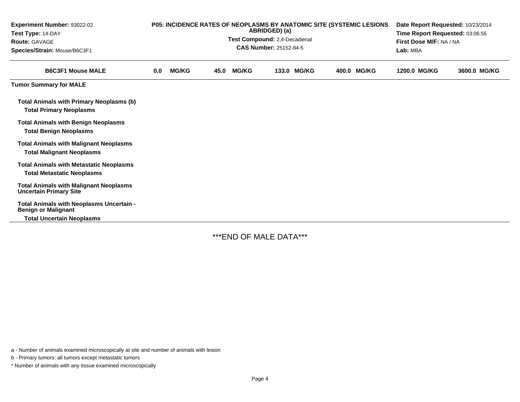| <b>Experiment Number: 93022-02</b><br>Test Type: 14-DAY<br><b>Route: GAVAGE</b><br>Species/Strain: Mouse/B6C3F1 | <b>P05: INCIDENCE RATES OF NEOPLASMS BY ANATOMIC SITE (SYSTEMIC LESIONS)</b><br>ABRIDGED) (a)<br>Test Compound: 2,4-Decadienal<br>CAS Number: 25152-84-5 |              |      |              |  |             |             | Date Report Requested: 10/23/2014<br>Time Report Requested: 03:06:55<br>First Dose M/F: NA / NA<br>Lab: MBA |              |
|-----------------------------------------------------------------------------------------------------------------|----------------------------------------------------------------------------------------------------------------------------------------------------------|--------------|------|--------------|--|-------------|-------------|-------------------------------------------------------------------------------------------------------------|--------------|
| <b>B6C3F1 Mouse MALE</b>                                                                                        | 0.0                                                                                                                                                      | <b>MG/KG</b> | 45.0 | <b>MG/KG</b> |  | 133.0 MG/KG | 400.0 MG/KG | 1200.0 MG/KG                                                                                                | 3600.0 MG/KG |
| <b>Tumor Summary for MALE</b>                                                                                   |                                                                                                                                                          |              |      |              |  |             |             |                                                                                                             |              |
| <b>Total Animals with Primary Neoplasms (b)</b><br><b>Total Primary Neoplasms</b>                               |                                                                                                                                                          |              |      |              |  |             |             |                                                                                                             |              |
| <b>Total Animals with Benign Neoplasms</b><br><b>Total Benign Neoplasms</b>                                     |                                                                                                                                                          |              |      |              |  |             |             |                                                                                                             |              |
| <b>Total Animals with Malignant Neoplasms</b><br><b>Total Malignant Neoplasms</b>                               |                                                                                                                                                          |              |      |              |  |             |             |                                                                                                             |              |
| <b>Total Animals with Metastatic Neoplasms</b><br><b>Total Metastatic Neoplasms</b>                             |                                                                                                                                                          |              |      |              |  |             |             |                                                                                                             |              |
| <b>Total Animals with Malignant Neoplasms</b><br><b>Uncertain Primary Site</b>                                  |                                                                                                                                                          |              |      |              |  |             |             |                                                                                                             |              |
| Total Animals with Neoplasms Uncertain -<br><b>Benign or Malignant</b><br><b>Total Uncertain Neoplasms</b>      |                                                                                                                                                          |              |      |              |  |             |             |                                                                                                             |              |

\*\*\*END OF MALE DATA\*\*\*

a - Number of animals examined microscopically at site and number of animals with lesion

b - Primary tumors: all tumors except metastatic tumors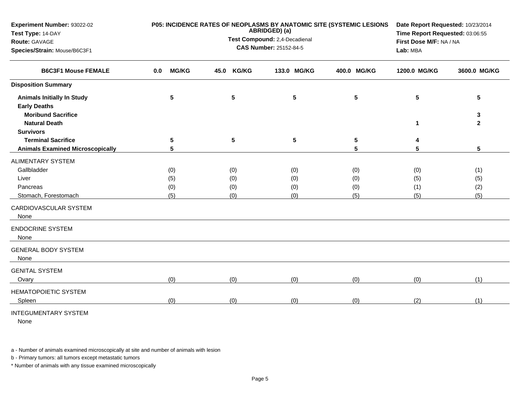| Experiment Number: 93022-02             |                     | P05: INCIDENCE RATES OF NEOPLASMS BY ANATOMIC SITE (SYSTEMIC LESIONS<br>ABRIDGED) (a) | Date Report Requested: 10/23/2014<br>Time Report Requested: 03:06:55<br>First Dose M/F: NA / NA |             |              |              |
|-----------------------------------------|---------------------|---------------------------------------------------------------------------------------|-------------------------------------------------------------------------------------------------|-------------|--------------|--------------|
| Test Type: 14-DAY<br>Route: GAVAGE      |                     | Test Compound: 2,4-Decadienal                                                         |                                                                                                 |             |              |              |
| Species/Strain: Mouse/B6C3F1            |                     |                                                                                       | <b>CAS Number: 25152-84-5</b>                                                                   |             | Lab: MBA     |              |
|                                         |                     |                                                                                       |                                                                                                 |             |              |              |
| <b>B6C3F1 Mouse FEMALE</b>              | <b>MG/KG</b><br>0.0 | <b>KG/KG</b><br>45.0                                                                  | 133.0 MG/KG                                                                                     | 400.0 MG/KG | 1200.0 MG/KG | 3600.0 MG/KG |
| <b>Disposition Summary</b>              |                     |                                                                                       |                                                                                                 |             |              |              |
| <b>Animals Initially In Study</b>       | 5                   | 5                                                                                     | 5                                                                                               | 5           | 5            | 5            |
| <b>Early Deaths</b>                     |                     |                                                                                       |                                                                                                 |             |              |              |
| <b>Moribund Sacrifice</b>               |                     |                                                                                       |                                                                                                 |             |              | 3            |
| <b>Natural Death</b>                    |                     |                                                                                       |                                                                                                 |             | $\mathbf 1$  | $\mathbf{2}$ |
| <b>Survivors</b>                        |                     |                                                                                       |                                                                                                 |             |              |              |
| <b>Terminal Sacrifice</b>               | 5                   | 5                                                                                     | $5\phantom{.0}$                                                                                 | 5           |              |              |
| <b>Animals Examined Microscopically</b> | 5                   |                                                                                       |                                                                                                 | 5           | 5            | 5            |
| <b>ALIMENTARY SYSTEM</b>                |                     |                                                                                       |                                                                                                 |             |              |              |
| Gallbladder                             | (0)                 | (0)                                                                                   | (0)                                                                                             | (0)         | (0)          | (1)          |
| Liver                                   | (5)                 | (0)                                                                                   | (0)                                                                                             | (0)         | (5)          | (5)          |
| Pancreas                                | (0)                 | (0)                                                                                   | (0)                                                                                             | (0)         | (1)          | (2)          |
| Stomach, Forestomach                    | (5)                 | (0)                                                                                   | (0)                                                                                             | (5)         | (5)          | (5)          |
| CARDIOVASCULAR SYSTEM<br>None           |                     |                                                                                       |                                                                                                 |             |              |              |
| <b>ENDOCRINE SYSTEM</b><br>None         |                     |                                                                                       |                                                                                                 |             |              |              |
| <b>GENERAL BODY SYSTEM</b><br>None      |                     |                                                                                       |                                                                                                 |             |              |              |
| <b>GENITAL SYSTEM</b>                   |                     |                                                                                       |                                                                                                 |             |              |              |
| Ovary                                   | (0)                 | (0)                                                                                   | (0)                                                                                             | (0)         | (0)          | (1)          |
| HEMATOPOIETIC SYSTEM                    |                     |                                                                                       |                                                                                                 |             |              |              |
| Spleen                                  | (0)                 | (0)                                                                                   | (0)                                                                                             | (0)         | (2)          | (1)          |
| <b>INTEGUMENTARY SYSTEM</b>             |                     |                                                                                       |                                                                                                 |             |              |              |

None

a - Number of animals examined microscopically at site and number of animals with lesion

b - Primary tumors: all tumors except metastatic tumors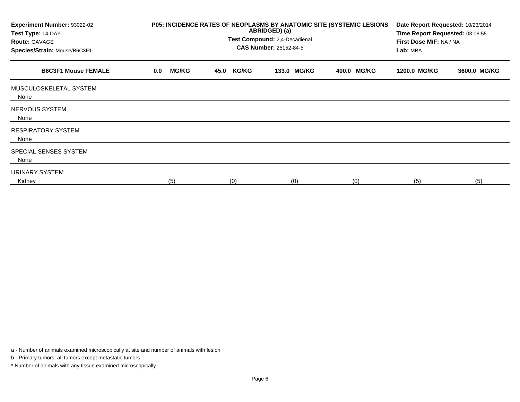| Experiment Number: 93022-02<br>Test Type: 14-DAY<br><b>Route: GAVAGE</b><br>Species/Strain: Mouse/B6C3F1 |                     | P05: INCIDENCE RATES OF NEOPLASMS BY ANATOMIC SITE (SYSTEMIC LESIONS<br>ABRIDGED) (a)<br>Test Compound: 2,4-Decadienal<br><b>CAS Number: 25152-84-5</b> | Date Report Requested: 10/23/2014<br>Time Report Requested: 03:06:55<br>First Dose M/F: NA / NA<br>Lab: MBA |             |              |              |
|----------------------------------------------------------------------------------------------------------|---------------------|---------------------------------------------------------------------------------------------------------------------------------------------------------|-------------------------------------------------------------------------------------------------------------|-------------|--------------|--------------|
| <b>B6C3F1 Mouse FEMALE</b>                                                                               | <b>MG/KG</b><br>0.0 | <b>KG/KG</b><br>45.0                                                                                                                                    | <b>MG/KG</b><br>133.0                                                                                       | 400.0 MG/KG | 1200.0 MG/KG | 3600.0 MG/KG |
| MUSCULOSKELETAL SYSTEM<br>None                                                                           |                     |                                                                                                                                                         |                                                                                                             |             |              |              |
| NERVOUS SYSTEM<br>None                                                                                   |                     |                                                                                                                                                         |                                                                                                             |             |              |              |
| <b>RESPIRATORY SYSTEM</b><br>None                                                                        |                     |                                                                                                                                                         |                                                                                                             |             |              |              |
| SPECIAL SENSES SYSTEM<br>None                                                                            |                     |                                                                                                                                                         |                                                                                                             |             |              |              |
| URINARY SYSTEM<br>Kidney                                                                                 | (5)                 | (0)                                                                                                                                                     | (0)                                                                                                         | (0)         | (5)          | (5)          |

a - Number of animals examined microscopically at site and number of animals with lesion

b - Primary tumors: all tumors except metastatic tumors